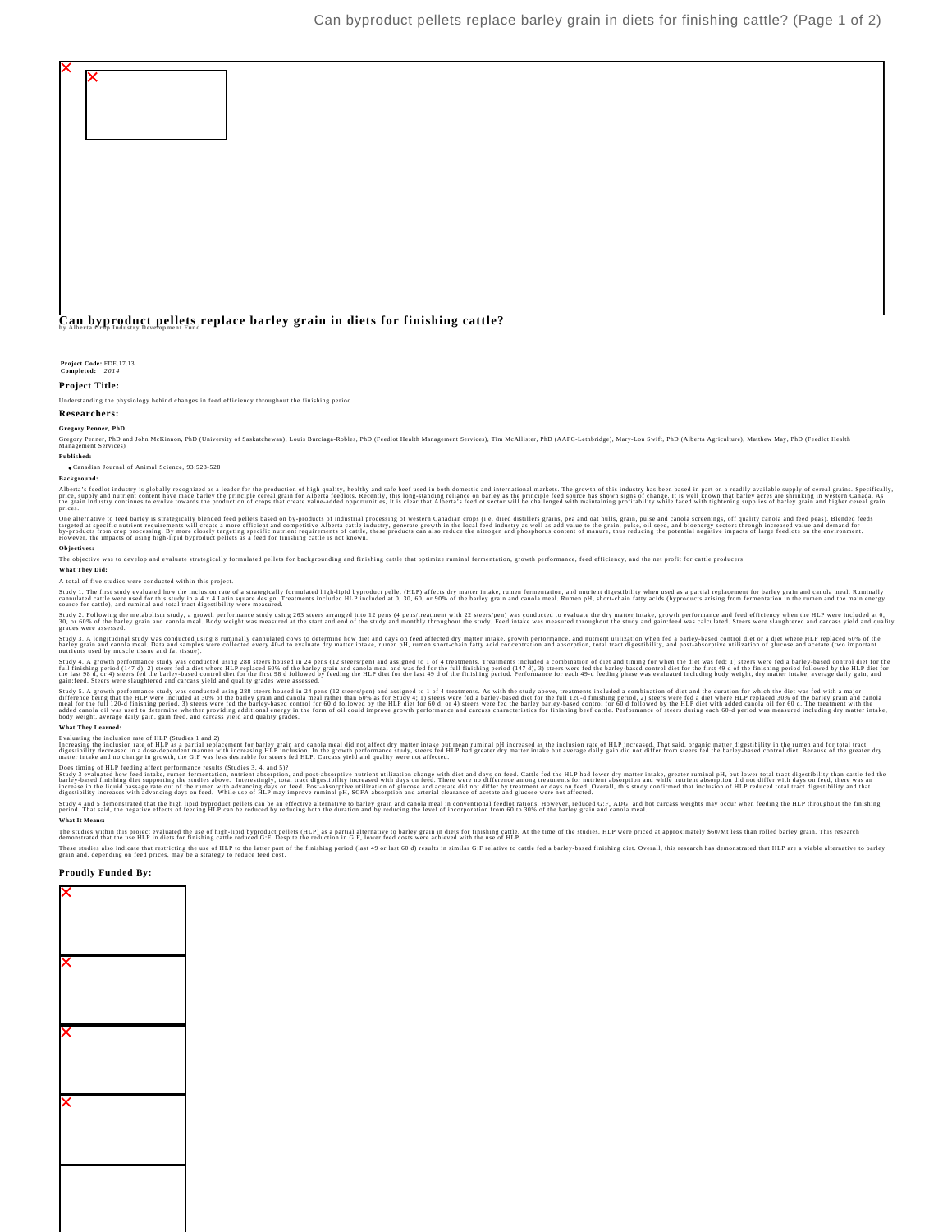

Study 2. Following the metabolism study, a growth performance study using 263 steers arranged into 12 pens (4 pens/treatment with 22 steers/pen) was conducted to evaluate the dry matter intake, growth performance and feed

Study 3. A longitudinal study was conducted using 8 ruminally cannulated cows to determine how diet and days on feed affected dry matter intake, growth performance, and nutrient utilization when fed a barley-based control

Study 4. A growth performance study was conducted using 288 steers housed in 24 pens (12 steers/pen) and assigned to 16 4 treatments. Treatments including for when the distributed by the HLP diet of or the form in the stee

Study 5. A growth performance study was conducted using 288 steers housed in 24 pens (12 steers) real and assigned to 10 fercements. As with the study over, treatments include a combination of diet sheet states in the stat **What They Learned:**

Evaluating the inclusion rate of HLP (Studies 1 and 2)<br>Increasing the inclusion rate of HLP as a partial replacement for barley grain and canola meal did not affect dry matter intake but mean ruminal pH increased as the in

Does timing of HLP feeding affect performance results (Studies 3, 4, and 5)?<br>Study 3 evaluated how feed intake, rumen fermentation, nutrient absorption, and post-absorptive nutrient utilization change with dist and days on

Study 4 and 5 demonstrated that the bigh byproduct pellets can be an effective alternative to barley grain and canohal fredion from the out out one, reduced GPE, ADG, and hot carcass weights may occur when feeding the HLP **What It Means:**

The studies with this project evaluated the use of high-lipid byproduct pellets (HLP) as a partial alternative to barley grain in thets for finishing eattle reduced G:F. Despite the reduction in G:F, lower feed costs were

These studies also indicate that restricting the use of the Public unter part of the finishing period (last 49 or last 60 d) results in similar G:F relative to cattle fed a barley-based finishing diet. Overall, this resear

## **Proudly Funded By:**